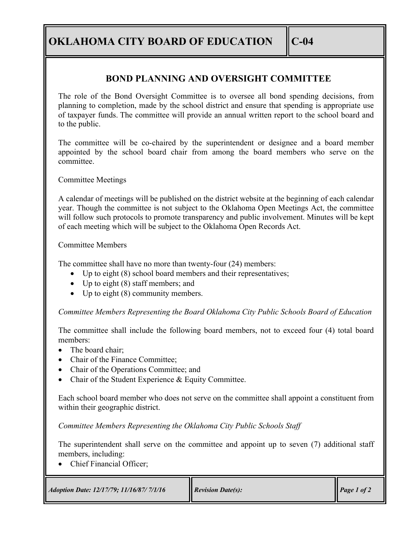**OKLAHOMA CITY BOARD OF EDUCATION**  $\|$  **C-04** 

## **BOND PLANNING AND OVERSIGHT COMMITTEE**

The role of the Bond Oversight Committee is to oversee all bond spending decisions, from planning to completion, made by the school district and ensure that spending is appropriate use of taxpayer funds. The committee will provide an annual written report to the school board and to the public.

The committee will be co-chaired by the superintendent or designee and a board member appointed by the school board chair from among the board members who serve on the committee.

Committee Meetings

A calendar of meetings will be published on the district website at the beginning of each calendar year. Though the committee is not subject to the Oklahoma Open Meetings Act, the committee will follow such protocols to promote transparency and public involvement. Minutes will be kept of each meeting which will be subject to the Oklahoma Open Records Act.

## Committee Members

The committee shall have no more than twenty-four (24) members:

- Up to eight (8) school board members and their representatives;
- Up to eight (8) staff members; and
- Up to eight (8) community members.

*Committee Members Representing the Board Oklahoma City Public Schools Board of Education*

The committee shall include the following board members, not to exceed four (4) total board members:

- The board chair:
- Chair of the Finance Committee:
- Chair of the Operations Committee; and
- Chair of the Student Experience & Equity Committee.

Each school board member who does not serve on the committee shall appoint a constituent from within their geographic district.

*Committee Members Representing the Oklahoma City Public Schools Staff*

The superintendent shall serve on the committee and appoint up to seven (7) additional staff members, including:

• Chief Financial Officer;